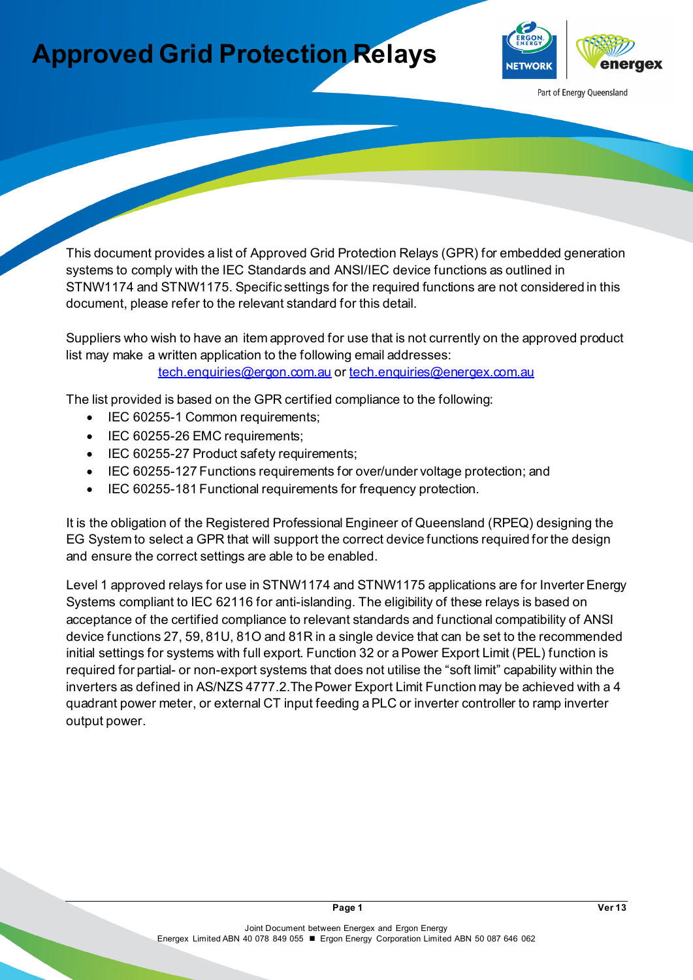## **Approved Grid Protection Relays**



Part of Energy Queensland

This document provides a list of Approved Grid Protection Relays (GPR) for embedded generation systems to comply with the IEC Standards and ANSI/IEC device functions as outlined in STNW1174 and STNW1175. Specific settings for the required functions are not considered in this document, please refer to the relevant standard for this detail.

Suppliers who wish to have an item approved for use that is not currently on the approved product list may make a written application to the following email addresses: [tech.enquiries@ergon.com.au](mailto:tech.enquiries@ergon.com.au) or [tech.enquiries@energex.com.au](mailto:tech.enquiries@energex.com.au)

The list provided is based on the GPR certified compliance to the following:

- IEC 60255-1 Common requirements;
- IEC 60255-26 EMC requirements;
- IEC 60255-27 Product safety requirements;
- IEC 60255-127 Functions requirements for over/under voltage protection; and
- IEC 60255-181 Functional requirements for frequency protection.

It is the obligation of the Registered Professional Engineer of Queensland (RPEQ) designing the EG System to select a GPR that will support the correct device functions required for the design and ensure the correct settings are able to be enabled.

Level 1 approved relays for use in STNW1174 and STNW1175 applications are for Inverter Energy Systems compliant to IEC 62116 for anti-islanding. The eligibility of these relays is based on acceptance of the certified compliance to relevant standards and functional compatibility of ANSI device functions 27, 59, 81U, 81O and 81R in a single device that can be set to the recommended initial settings for systems with full export. Function 32 or a Power Export Limit (PEL) function is required for partial- or non-export systems that does not utilise the "soft limit" capability within the inverters as defined in AS/NZS 4777.2.The Power Export Limit Function may be achieved with a 4 quadrant power meter, or external CT input feeding a PLC or inverter controller to ramp inverter output power.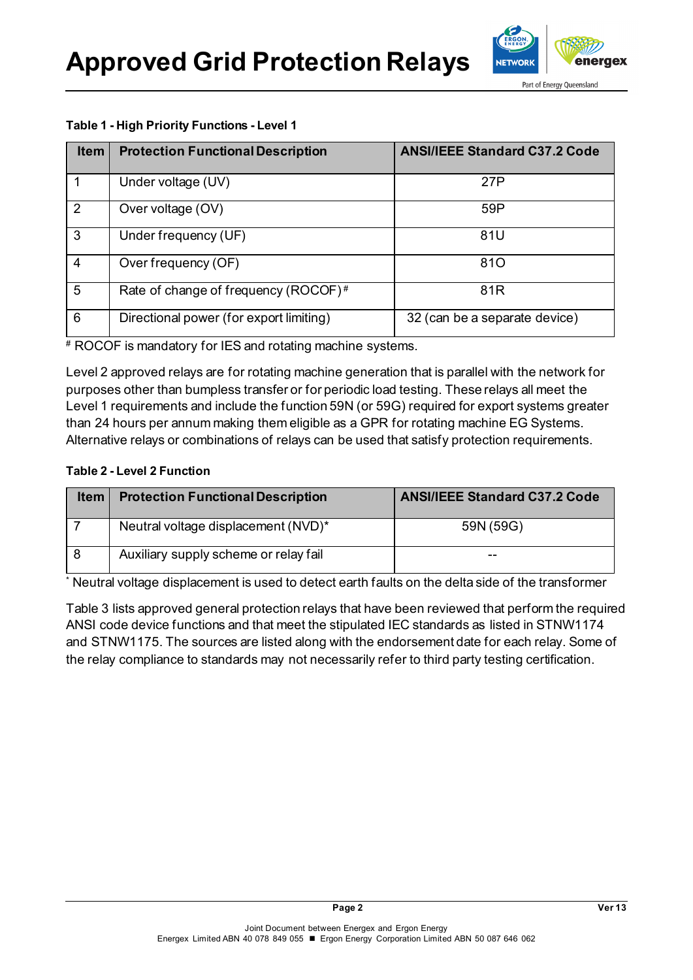**Approved Grid Protection Relays**



Part of Energy Queensland

## **Table 1 - High Priority Functions - Level 1**

| <b>Item</b> | <b>Protection Functional Description</b> | <b>ANSI/IEEE Standard C37.2 Code</b> |  |  |
|-------------|------------------------------------------|--------------------------------------|--|--|
|             | Under voltage (UV)                       | 27P                                  |  |  |
| 2           | Over voltage (OV)                        | 59P                                  |  |  |
| 3           | Under frequency (UF)                     | 81U                                  |  |  |
| 4           | Over frequency (OF)                      | 810                                  |  |  |
| 5           | Rate of change of frequency (ROCOF)#     | 81 <sub>R</sub>                      |  |  |
| 6           | Directional power (for export limiting)  | 32 (can be a separate device)        |  |  |

# ROCOF is mandatory for IES and rotating machine systems.

Level 2 approved relays are for rotating machine generation that is parallel with the network for purposes other than bumpless transfer or for periodic load testing. These relays all meet the Level 1 requirements and include the function 59N (or 59G) required for export systems greater than 24 hours per annum making them eligible as a GPR for rotating machine EG Systems. Alternative relays or combinations of relays can be used that satisfy protection requirements.

## **Table 2 - Level 2 Function**

| Item $ $ | <b>Protection Functional Description</b> | <b>ANSI/IEEE Standard C37.2 Code</b> |  |
|----------|------------------------------------------|--------------------------------------|--|
|          | Neutral voltage displacement (NVD)*      | 59N (59G)                            |  |
|          | Auxiliary supply scheme or relay fail    | --                                   |  |

\* Neutral voltage displacement is used to detect earth faults on the delta side of the transformer

Table 3 lists approved general protection relays that have been reviewed that perform the required ANSI code device functions and that meet the stipulated IEC standards as listed in STNW1174 and STNW1175. The sources are listed along with the endorsement date for each relay. Some of the relay compliance to standards may not necessarily refer to third party testing certification.